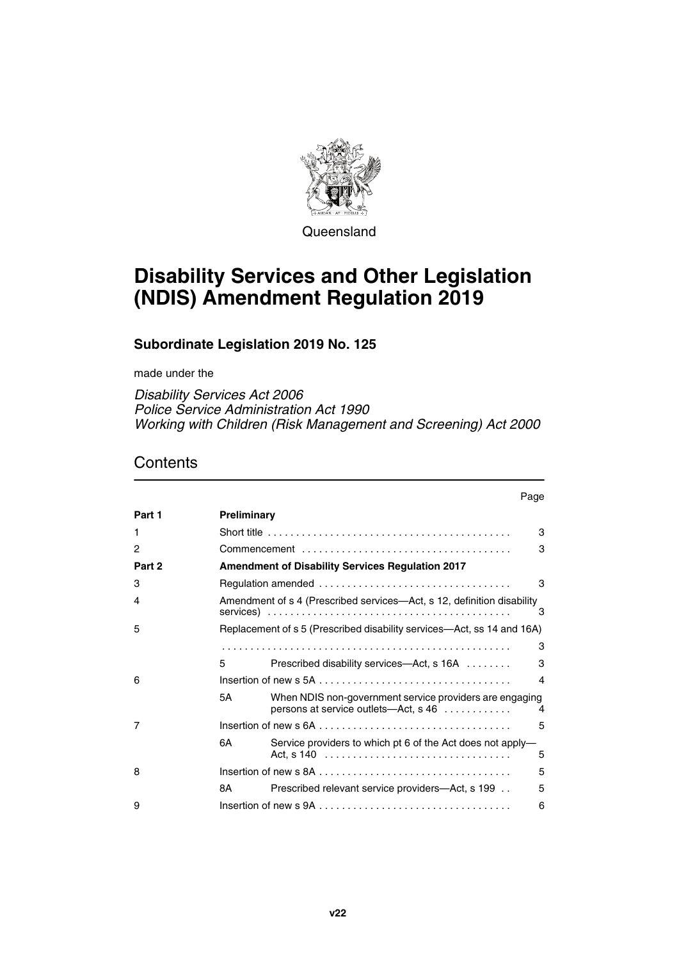

**Queensland** 

# **Disability Services and Other Legislation (NDIS) Amendment Regulation 2019**

## **Subordinate Legislation 2019 No. 125**

made under the

*Disability Services Act 2006 Police Service Administration Act 1990 Working with Children (Risk Management and Screening) Act 2000*

## **Contents**

|        |                                                         | Page                                                                                                      |   |
|--------|---------------------------------------------------------|-----------------------------------------------------------------------------------------------------------|---|
| Part 1 | Preliminary                                             |                                                                                                           |   |
| 1      |                                                         |                                                                                                           | 3 |
| 2      |                                                         |                                                                                                           | 3 |
| Part 2 | <b>Amendment of Disability Services Regulation 2017</b> |                                                                                                           |   |
| 3      |                                                         |                                                                                                           | 3 |
| 4      |                                                         | Amendment of s 4 (Prescribed services—Act, s 12, definition disability                                    | 3 |
| 5      |                                                         | Replacement of s 5 (Prescribed disability services—Act, ss 14 and 16A)                                    |   |
|        |                                                         |                                                                                                           | 3 |
|        | 5                                                       | Prescribed disability services—Act, s 16A                                                                 | 3 |
| 6      |                                                         |                                                                                                           | 4 |
|        | 5Α                                                      | When NDIS non-government service providers are engaging<br>persons at service outlets—Act, $s$ 46 $\dots$ | 4 |
| 7      |                                                         |                                                                                                           | 5 |
|        | 6A                                                      | Service providers to which pt 6 of the Act does not apply-                                                | 5 |
| 8      |                                                         |                                                                                                           | 5 |
|        | 8А                                                      | Prescribed relevant service providers—Act, s 199                                                          | 5 |
| 9      |                                                         |                                                                                                           | 6 |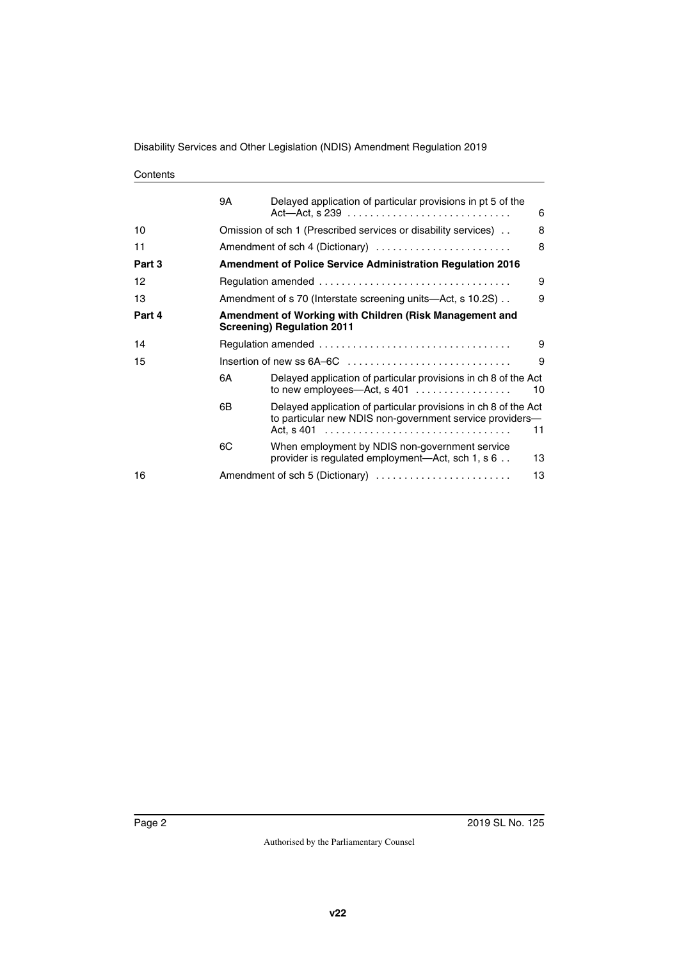#### **Contents**

|        | 9Α | Delayed application of particular provisions in pt 5 of the                                                                       | 6  |  |  |
|--------|----|-----------------------------------------------------------------------------------------------------------------------------------|----|--|--|
| 10     |    | Omission of sch 1 (Prescribed services or disability services).<br>8                                                              |    |  |  |
| 11     |    | 8<br>Amendment of sch 4 (Dictionary)                                                                                              |    |  |  |
| Part 3 |    | <b>Amendment of Police Service Administration Regulation 2016</b>                                                                 |    |  |  |
| 12     |    |                                                                                                                                   | 9  |  |  |
| 13     |    | Amendment of s 70 (Interstate screening units—Act, s 10.2S).                                                                      | 9  |  |  |
| Part 4 |    | Amendment of Working with Children (Risk Management and<br><b>Screening) Regulation 2011</b>                                      |    |  |  |
| 14     |    | 9                                                                                                                                 |    |  |  |
| 15     |    | 9<br>Insertion of new ss 6A-6C                                                                                                    |    |  |  |
|        | 6A | Delayed application of particular provisions in ch 8 of the Act<br>to new employees-Act, s 401                                    | 10 |  |  |
|        | 6В | Delayed application of particular provisions in ch 8 of the Act<br>to particular new NDIS non-government service providers-<br>11 |    |  |  |
|        | 6C | When employment by NDIS non-government service<br>provider is regulated employment—Act, sch 1, s 6                                | 13 |  |  |
| 16     |    | 13<br>Amendment of sch 5 (Dictionary)                                                                                             |    |  |  |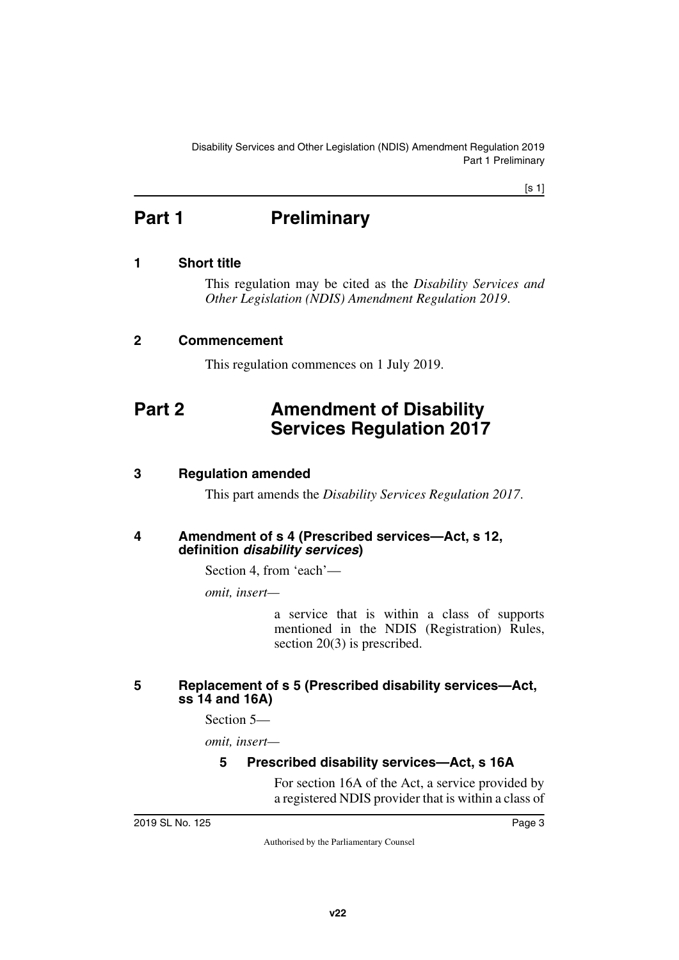<span id="page-2-1"></span>Disability Services and Other Legislation (NDIS) Amendment Regulation 2019 Part 1 Preliminary

[s 1]

## <span id="page-2-0"></span>**Part 1** Preliminary

### <span id="page-2-2"></span>**1 Short title**

<span id="page-2-3"></span>This regulation may be cited as the *Disability Services and Other Legislation (NDIS) Amendment Regulation 2019*.

#### <span id="page-2-4"></span>**2 Commencement**

<span id="page-2-7"></span><span id="page-2-5"></span>This regulation commences on 1 July 2019.

## <span id="page-2-6"></span>**Part 2 Amendment of Disability Services Regulation 2017**

### <span id="page-2-8"></span>**3 Regulation amended**

<span id="page-2-11"></span><span id="page-2-9"></span>This part amends the *Disability Services Regulation 2017*.

#### <span id="page-2-10"></span>**4 Amendment of s 4 (Prescribed services—Act, s 12, definition** *disability services***)**

Section 4, from 'each'—

*omit, insert—*

a service that is within a class of supports mentioned in the NDIS (Registration) Rules, section 20(3) is prescribed.

## <span id="page-2-13"></span><span id="page-2-12"></span>**5 Replacement of s 5 (Prescribed disability services—Act, ss 14 and 16A)**

Section 5—

*omit, insert—*

## <span id="page-2-15"></span><span id="page-2-14"></span>**5 Prescribed disability services—Act, s 16A**

For section 16A of the Act, a service provided by a registered NDIS provider that is within a class of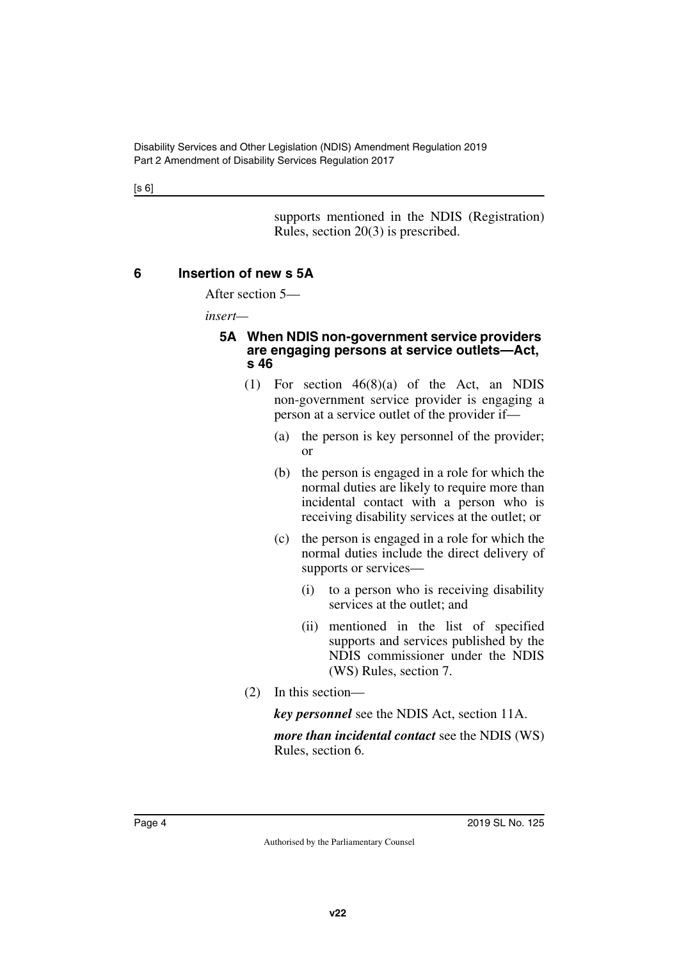[s 6]

supports mentioned in the NDIS (Registration) Rules, section 20(3) is prescribed.

## <span id="page-3-0"></span>**6 Insertion of new s 5A**

<span id="page-3-1"></span>After section 5—

*insert—*

#### <span id="page-3-3"></span><span id="page-3-2"></span>**5A When NDIS non-government service providers are engaging persons at service outlets—Act, s 46**

- (1) For section 46(8)(a) of the Act, an NDIS non-government service provider is engaging a person at a service outlet of the provider if—
	- (a) the person is key personnel of the provider; or
	- (b) the person is engaged in a role for which the normal duties are likely to require more than incidental contact with a person who is receiving disability services at the outlet; or
	- (c) the person is engaged in a role for which the normal duties include the direct delivery of supports or services—
		- (i) to a person who is receiving disability services at the outlet; and
		- (ii) mentioned in the list of specified supports and services published by the NDIS commissioner under the NDIS (WS) Rules, section 7.
- (2) In this section—

*key personnel* see the NDIS Act, section 11A.

*more than incidental contact* see the NDIS (WS) Rules, section 6.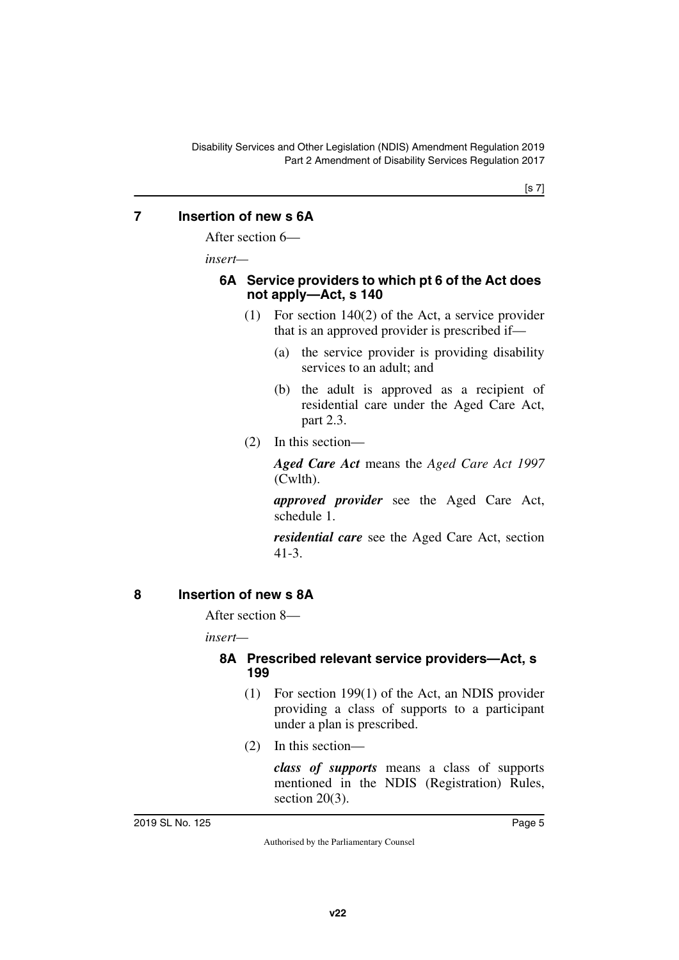## <span id="page-4-0"></span>**7 Insertion of new s 6A**

<span id="page-4-1"></span>After section 6—

*insert—*

#### <span id="page-4-3"></span><span id="page-4-2"></span>**6A Service providers to which pt 6 of the Act does not apply—Act, s 140**

- (1) For section 140(2) of the Act, a service provider that is an approved provider is prescribed if—
	- (a) the service provider is providing disability services to an adult; and
	- (b) the adult is approved as a recipient of residential care under the Aged Care Act, part 2.3.
- (2) In this section—

*Aged Care Act* means the *Aged Care Act 1997* (Cwlth).

*approved provider* see the Aged Care Act, schedule 1.

*residential care* see the Aged Care Act, section 41-3.

## <span id="page-4-4"></span>**8 Insertion of new s 8A**

<span id="page-4-5"></span>After section 8—

*insert—*

#### <span id="page-4-7"></span><span id="page-4-6"></span>**8A Prescribed relevant service providers—Act, s 199**

- (1) For section 199(1) of the Act, an NDIS provider providing a class of supports to a participant under a plan is prescribed.
- (2) In this section—

*class of supports* means a class of supports mentioned in the NDIS (Registration) Rules, section 20(3).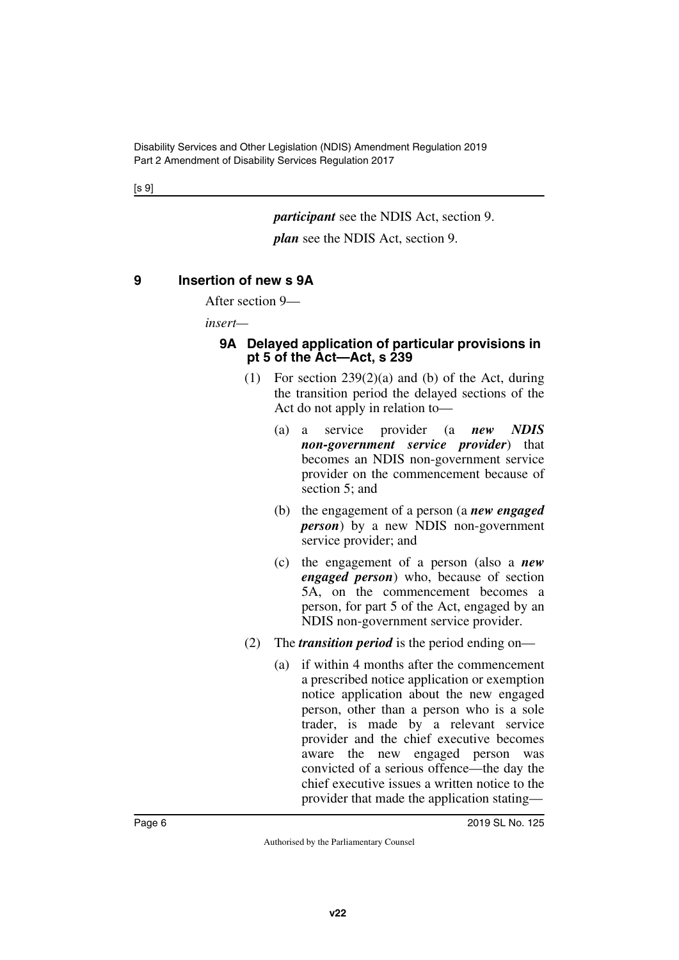[s 9]

*participant* see the NDIS Act, section 9.

*plan* see the NDIS Act, section 9.

#### <span id="page-5-0"></span>**9 Insertion of new s 9A**

<span id="page-5-1"></span>After section 9—

*insert—*

#### <span id="page-5-3"></span><span id="page-5-2"></span>**9A Delayed application of particular provisions in pt 5 of the Act—Act, s 239**

- (1) For section  $239(2)(a)$  and (b) of the Act, during the transition period the delayed sections of the Act do not apply in relation to—
	- (a) a service provider (a *new NDIS non-government service provider*) that becomes an NDIS non-government service provider on the commencement because of section 5; and
	- (b) the engagement of a person (a *new engaged person*) by a new NDIS non-government service provider; and
	- (c) the engagement of a person (also a *new engaged person*) who, because of section 5A, on the commencement becomes a person, for part 5 of the Act, engaged by an NDIS non-government service provider.
- (2) The *transition period* is the period ending on—
	- (a) if within 4 months after the commencement a prescribed notice application or exemption notice application about the new engaged person, other than a person who is a sole trader, is made by a relevant service provider and the chief executive becomes aware the new engaged person was convicted of a serious offence—the day the chief executive issues a written notice to the provider that made the application stating—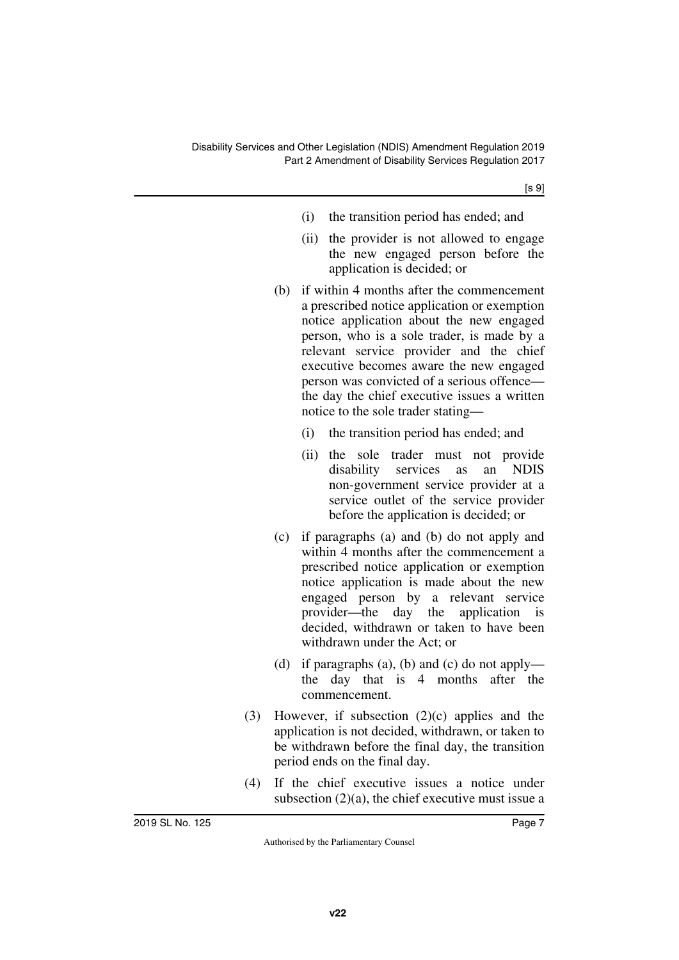- (i) the transition period has ended; and
- (ii) the provider is not allowed to engage the new engaged person before the application is decided; or
- (b) if within 4 months after the commencement a prescribed notice application or exemption notice application about the new engaged person, who is a sole trader, is made by a relevant service provider and the chief executive becomes aware the new engaged person was convicted of a serious offence the day the chief executive issues a written notice to the sole trader stating—
	- (i) the transition period has ended; and
	- (ii) the sole trader must not provide disability services as an NDIS non-government service provider at a service outlet of the service provider before the application is decided; or
- (c) if paragraphs (a) and (b) do not apply and within 4 months after the commencement a prescribed notice application or exemption notice application is made about the new engaged person by a relevant service provider—the day the application is decided, withdrawn or taken to have been withdrawn under the Act; or
- (d) if paragraphs (a), (b) and (c) do not apply the day that is 4 months after the commencement.
- (3) However, if subsection (2)(c) applies and the application is not decided, withdrawn, or taken to be withdrawn before the final day, the transition period ends on the final day.
- (4) If the chief executive issues a notice under subsection (2)(a), the chief executive must issue a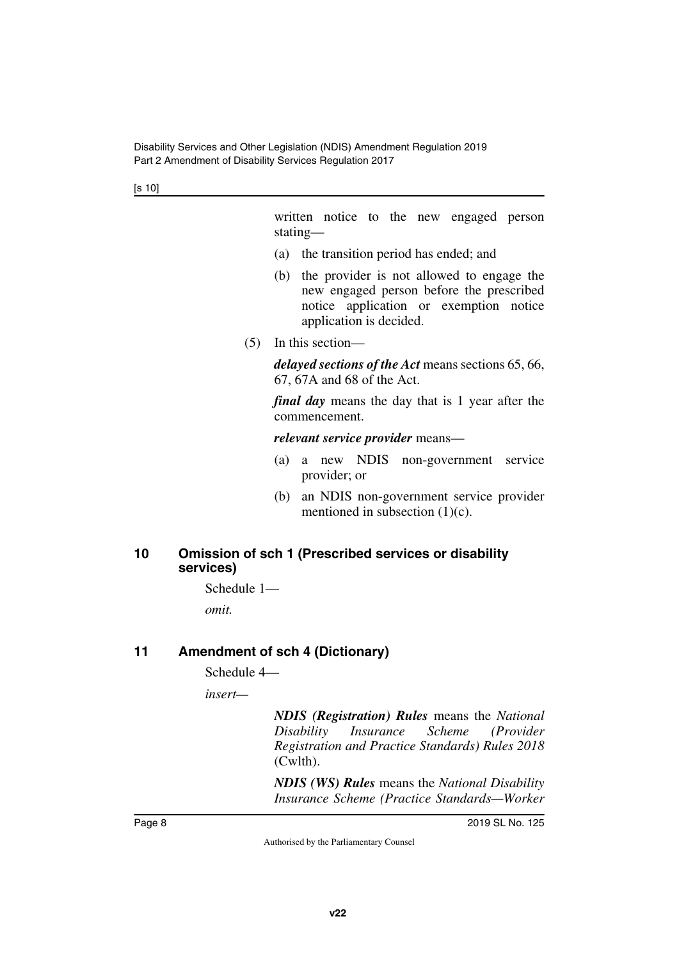[s 10]

written notice to the new engaged person stating—

- (a) the transition period has ended; and
- (b) the provider is not allowed to engage the new engaged person before the prescribed notice application or exemption notice application is decided.
- (5) In this section—

*delayed sections of the Act* means sections 65, 66, 67, 67A and 68 of the Act.

*final day* means the day that is 1 year after the commencement.

*relevant service provider* means—

- (a) a new NDIS non-government service provider; or
- (b) an NDIS non-government service provider mentioned in subsection  $(1)(c)$ .

#### <span id="page-7-1"></span><span id="page-7-0"></span>**10 Omission of sch 1 (Prescribed services or disability services)**

Schedule 1—

<span id="page-7-3"></span>*omit.*

## <span id="page-7-2"></span>**11 Amendment of sch 4 (Dictionary)**

Schedule 4—

*insert—*

*NDIS (Registration) Rules* means the *National Disability Insurance Scheme (Provider Registration and Practice Standards) Rules 2018* (Cwlth).

*NDIS (WS) Rules* means the *National Disability Insurance Scheme (Practice Standards—Worker*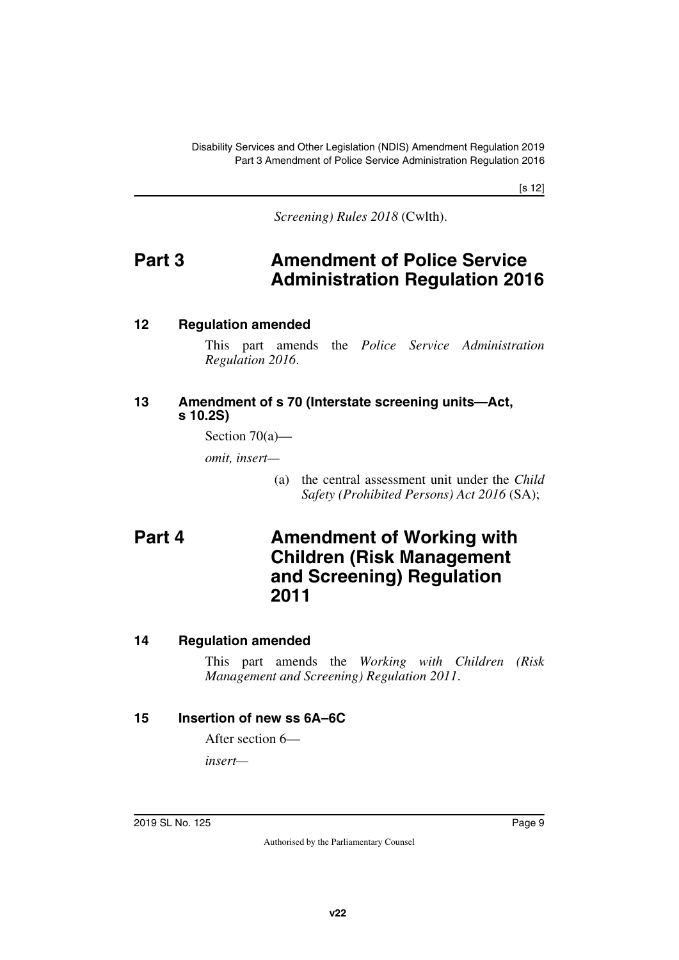[s 12]

<span id="page-8-1"></span>*Screening) Rules 2018* (Cwlth).

## <span id="page-8-0"></span>**Part 3 Amendment of Police Service Administration Regulation 2016**

#### <span id="page-8-2"></span>**12 Regulation amended**

<span id="page-8-3"></span>This part amends the *Police Service Administration Regulation 2016*.

#### <span id="page-8-5"></span><span id="page-8-4"></span>**13 Amendment of s 70 (Interstate screening units—Act, s 10.2S)**

Section 70(a)—

*omit, insert—*

<span id="page-8-7"></span>(a) the central assessment unit under the *Child Safety (Prohibited Persons) Act 2016* (SA);

## <span id="page-8-6"></span>**Part 4 Amendment of Working with Children (Risk Management and Screening) Regulation 2011**

## <span id="page-8-8"></span>**14 Regulation amended**

<span id="page-8-9"></span>This part amends the *Working with Children (Risk Management and Screening) Regulation 2011*.

## <span id="page-8-10"></span>**15 Insertion of new ss 6A–6C**

<span id="page-8-11"></span>After section 6—

*insert—*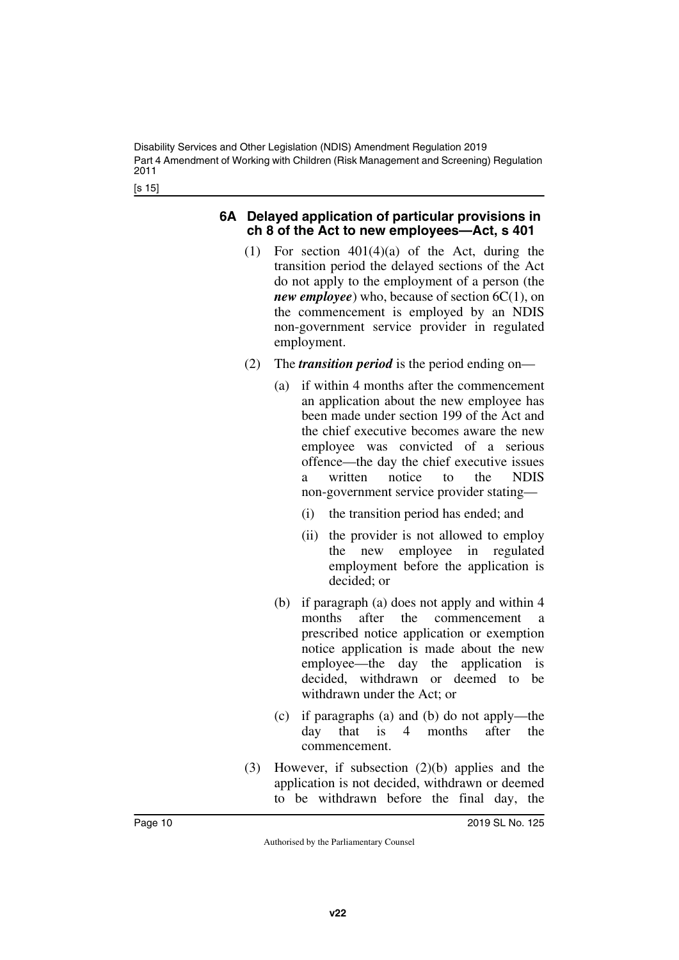[s 15]

#### <span id="page-9-1"></span><span id="page-9-0"></span>**6A Delayed application of particular provisions in ch 8 of the Act to new employees—Act, s 401**

- (1) For section 401(4)(a) of the Act, during the transition period the delayed sections of the Act do not apply to the employment of a person (the *new employee*) who, because of section 6C(1), on the commencement is employed by an NDIS non-government service provider in regulated employment.
- (2) The *transition period* is the period ending on—
	- (a) if within 4 months after the commencement an application about the new employee has been made under section 199 of the Act and the chief executive becomes aware the new employee was convicted of a serious offence—the day the chief executive issues a written notice to the NDIS non-government service provider stating—
		- (i) the transition period has ended; and
		- (ii) the provider is not allowed to employ the new employee in regulated employment before the application is decided; or
	- (b) if paragraph (a) does not apply and within 4 months after the commencement a prescribed notice application or exemption notice application is made about the new employee—the day the application is decided, withdrawn or deemed to be withdrawn under the Act; or
	- (c) if paragraphs (a) and (b) do not apply—the day that is 4 months after the commencement.
- (3) However, if subsection (2)(b) applies and the application is not decided, withdrawn or deemed to be withdrawn before the final day, the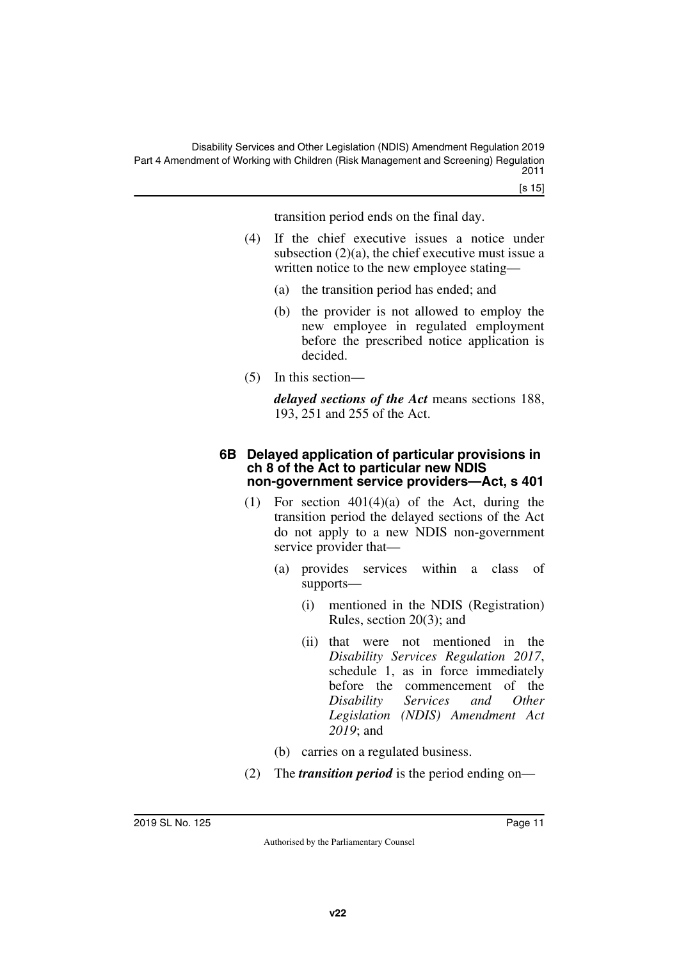transition period ends on the final day.

- (4) If the chief executive issues a notice under subsection (2)(a), the chief executive must issue a written notice to the new employee stating—
	- (a) the transition period has ended; and
	- (b) the provider is not allowed to employ the new employee in regulated employment before the prescribed notice application is decided.
- (5) In this section—

*delayed sections of the Act* means sections 188, 193, 251 and 255 of the Act.

#### <span id="page-10-1"></span><span id="page-10-0"></span>**6B Delayed application of particular provisions in ch 8 of the Act to particular new NDIS non-government service providers—Act, s 401**

- (1) For section  $401(4)(a)$  of the Act, during the transition period the delayed sections of the Act do not apply to a new NDIS non-government service provider that—
	- (a) provides services within a class of supports—
		- (i) mentioned in the NDIS (Registration) Rules, section 20(3); and
		- (ii) that were not mentioned in the *Disability Services Regulation 2017*, schedule 1, as in force immediately before the commencement of the *Disability Services and Other Legislation (NDIS) Amendment Act 2019*; and
	- (b) carries on a regulated business.
- (2) The *transition period* is the period ending on—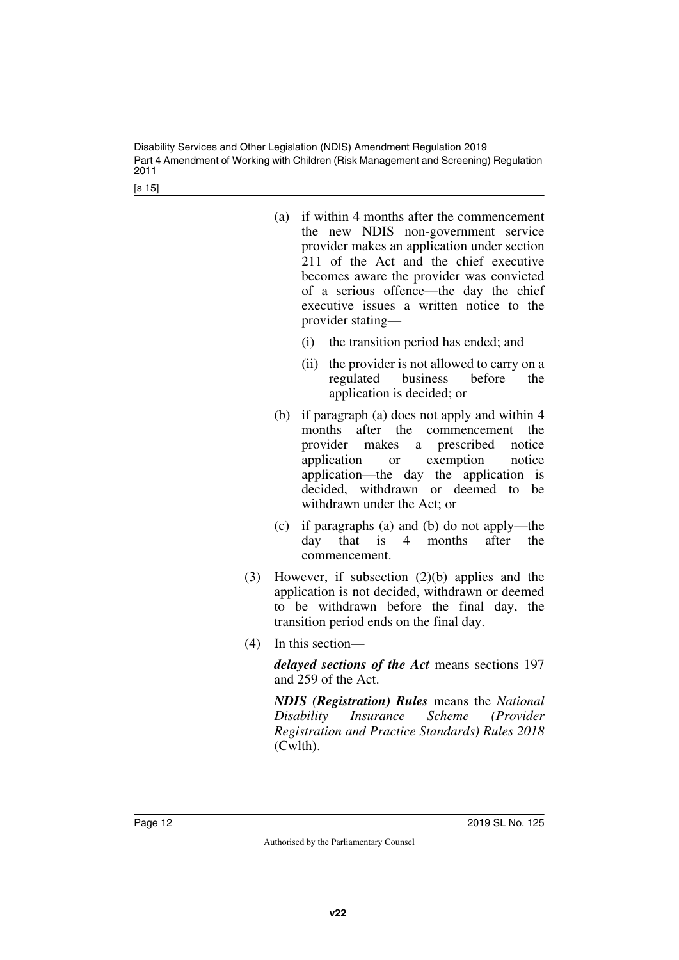Disability Services and Other Legislation (NDIS) Amendment Regulation 2019 Part 4 Amendment of Working with Children (Risk Management and Screening) Regulation 2011

[s 15]

- (a) if within 4 months after the commencement the new NDIS non-government service provider makes an application under section 211 of the Act and the chief executive becomes aware the provider was convicted of a serious offence—the day the chief executive issues a written notice to the provider stating—
	- (i) the transition period has ended; and
	- (ii) the provider is not allowed to carry on a regulated business before the application is decided; or
- (b) if paragraph (a) does not apply and within 4 months after the commencement the provider makes a prescribed notice application or exemption notice application—the day the application is decided, withdrawn or deemed to be withdrawn under the Act; or
- (c) if paragraphs (a) and (b) do not apply—the day that is 4 months after the commencement.
- (3) However, if subsection (2)(b) applies and the application is not decided, withdrawn or deemed to be withdrawn before the final day, the transition period ends on the final day.
- (4) In this section—

*delayed sections of the Act* means sections 197 and 259 of the Act.

*NDIS (Registration) Rules* means the *National Disability Insurance Scheme (Provider Registration and Practice Standards) Rules 2018* (Cwlth).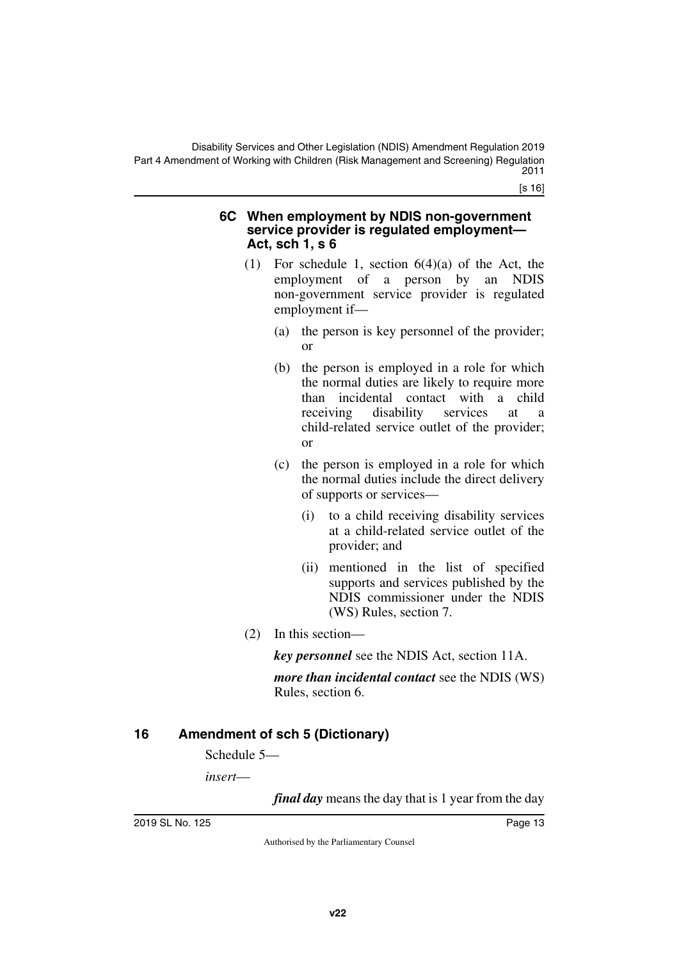[s 16]

#### <span id="page-12-1"></span><span id="page-12-0"></span>**6C When employment by NDIS non-government service provider is regulated employment— Act, sch 1, s 6**

- (1) For schedule 1, section 6(4)(a) of the Act, the employment of a person by an NDIS non-government service provider is regulated employment if—
	- (a) the person is key personnel of the provider; or
	- (b) the person is employed in a role for which the normal duties are likely to require more than incidental contact with a child<br>receiving disability services at a receiving disability services at a child-related service outlet of the provider; or
	- (c) the person is employed in a role for which the normal duties include the direct delivery of supports or services—
		- (i) to a child receiving disability services at a child-related service outlet of the provider; and
		- (ii) mentioned in the list of specified supports and services published by the NDIS commissioner under the NDIS (WS) Rules, section 7.
- (2) In this section—

*key personnel* see the NDIS Act, section 11A.

*more than incidental contact* see the NDIS (WS) Rules, section 6.

## <span id="page-12-2"></span>**16 Amendment of sch 5 (Dictionary)**

<span id="page-12-3"></span>Schedule 5—

*insert*—

*final day* means the day that is 1 year from the day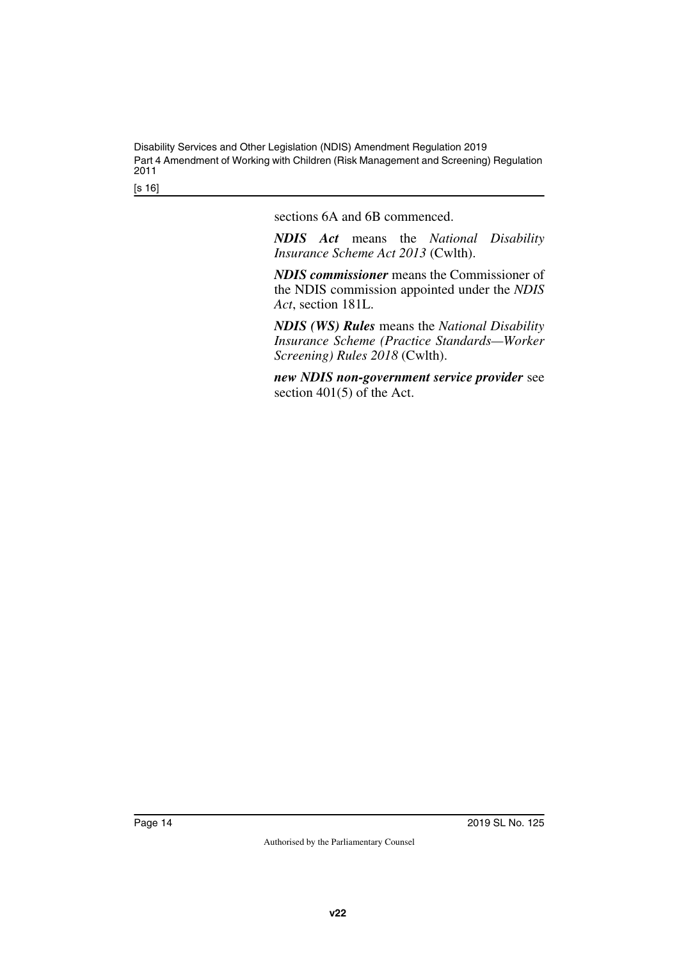Disability Services and Other Legislation (NDIS) Amendment Regulation 2019 Part 4 Amendment of Working with Children (Risk Management and Screening) Regulation 2011

[s 16]

sections 6A and 6B commenced.

*NDIS Act* means the *National Disability Insurance Scheme Act 2013* (Cwlth).

*NDIS commissioner* means the Commissioner of the NDIS commission appointed under the *NDIS Act*, section 181L.

*NDIS (WS) Rules* means the *National Disability Insurance Scheme (Practice Standards—Worker Screening) Rules 2018* (Cwlth).

*new NDIS non-government service provider* see section 401(5) of the Act.